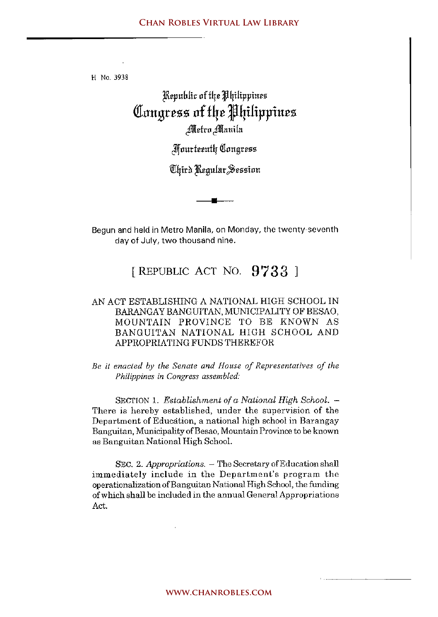H No. 3938

## )Rrpuhlie nf t4r J4ilippinrs **(tl:llugrcss llf f4C '4ilippiucs**  #Ildrn #Ilauila

Jlfnutfrrntlr I1lnugrrss

'1il4irn )1\rgnlur;§essinn

**•** 

Begun and held in Metro Manila, on Monday, the twenty-seventh day of July, two thousand nine.

## [REPUBLIC ACT NO. 9733]

## AN ACT ESTABLISHING A NATIONAL HIGH SCHOOL IN BARANGAYBANGUITAN,MUNICIPALITYOF BESAO, MOUNTAIN PROVINCE TO BE KNOWN AS BANGUITAN NATIONAL HIGH SCHOOL AND APPROPRIATING FUNDS THEREFOR

*Be* **it** *enacted by the Senate and House of Representatives of the Philippines in Congress assembled:* 

SECTION 1. *Establishment of a National High School. -* There is hereby established, under the supervision of the Department of Education, a national high school in Barangay Banguitan, Municipality of Be sao, Mountain Province *to* be known as Banguitan National High SchooL

SEC. 2. *Appropriations.* - The Secretary of Education shall immediately include in the Department's program the operationalization of Bangui tan National High School, the funding of which shall be included in the annual General Appropriations Act.